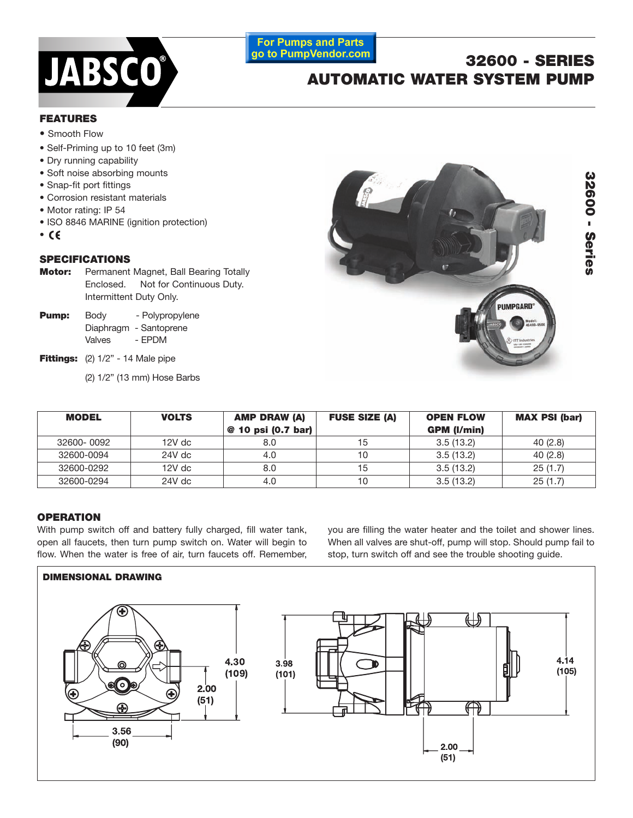

## **For Pumps and Parts** go to PumpVendor.com

# **32600 - SERIES AUTOMATIC WATER SYSTEM PUMP**

## **FEATURES**

- **•** Smooth Flow
- Self-Priming up to 10 feet (3m)
- Dry running capability
- Soft noise absorbing mounts
- Snap-fit port fittings
- Corrosion resistant materials
- Motor rating: IP 54
- ISO 8846 MARINE (ignition protection)
- •

## **SPECIFICATIONS**

- **Motor:** Permanent Magnet, Ball Bearing Totally Enclosed. Not for Continuous Duty. Intermittent Duty Only.
- **Pump:** Body Polypropylene Diaphragm - Santoprene Valves - EPDM
- **Fittings:** (2) 1/2" 14 Male pipe
	- (2) 1/2" (13 mm) Hose Barbs



| <b>MODEL</b> | <b>VOLTS</b> | <b>AMP DRAW (A)</b><br>@ 10 psi (0.7 bar) | <b>FUSE SIZE (A)</b> | <b>OPEN FLOW</b><br><b>GPM (I/min)</b> | <b>MAX PSI (bar)</b> |
|--------------|--------------|-------------------------------------------|----------------------|----------------------------------------|----------------------|
| 32600-0092   | 12V dc       | 8.0                                       | 15                   | 3.5(13.2)                              | 40(2.8)              |
| 32600-0094   | 24V dc       | 4.0                                       | 10                   | 3.5(13.2)                              | 40(2.8)              |
| 32600-0292   | 12V dc       | 8.0                                       | 15                   | 3.5(13.2)                              | 25(1.7)              |
| 32600-0294   | 24V dc       | 4.0                                       | 10                   | 3.5(13.2)                              | 25(1.7)              |

## **OPERATION**

With pump switch off and battery fully charged, fill water tank, open all faucets, then turn pump switch on. Water will begin to flow. When the water is free of air, turn faucets off. Remember,

you are filling the water heater and the toilet and shower lines. When all valves are shut-off, pump will stop. Should pump fail to stop, turn switch off and see the trouble shooting guide.

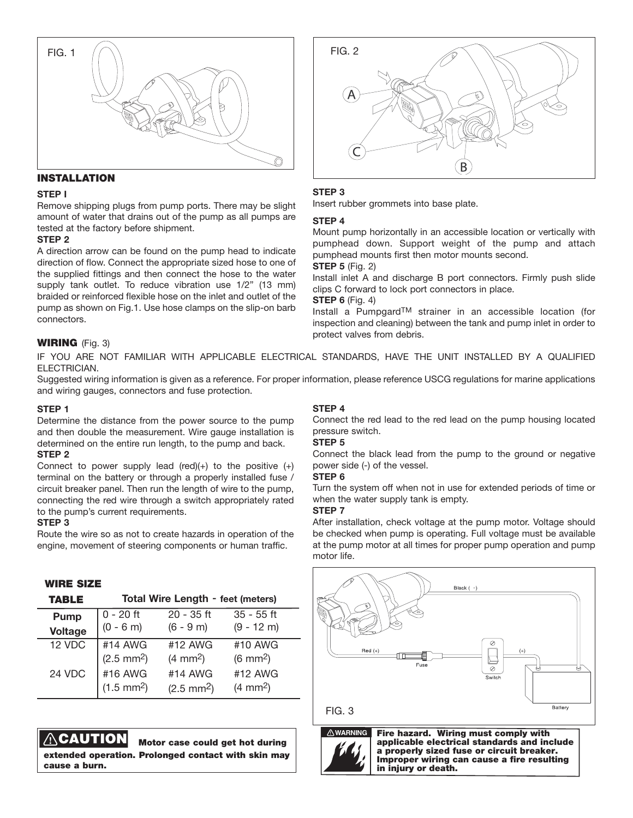

## **INSTALLATION**

#### **STEP I**

Remove shipping plugs from pump ports. There may be slight amount of water that drains out of the pump as all pumps are tested at the factory before shipment.

#### **STEP 2**

A direction arrow can be found on the pump head to indicate direction of flow. Connect the appropriate sized hose to one of the supplied fittings and then connect the hose to the water supply tank outlet. To reduce vibration use 1/2" (13 mm) braided or reinforced flexible hose on the inlet and outlet of the pump as shown on Fig.1. Use hose clamps on the slip-on barb connectors.

#### **WIRING** (Fig. 3)

IF YOU ARE NOT FAMILIAR WITH APPLICABLE ELECTRICAL STANDARDS, HAVE THE UNIT INSTALLED BY A QUALIFIED ELECTRICIAN.

Suggested wiring information is given as a reference. For proper information, please reference USCG regulations for marine applications and wiring gauges, connectors and fuse protection.

#### **STEP 1**

Determine the distance from the power source to the pump and then double the measurement. Wire gauge installation is determined on the entire run length, to the pump and back. **STEP 2**

Connect to power supply lead (red) $(+)$  to the positive  $(+)$ terminal on the battery or through a properly installed fuse / circuit breaker panel. Then run the length of wire to the pump, connecting the red wire through a switch appropriately rated to the pump's current requirements.

#### **STEP 3**

Route the wire so as not to create hazards in operation of the engine, movement of steering components or human traffic.

### **WIRE SIZE**

| <b>TABLE</b>   | <b>Total Wire Length - feet (meters)</b> |                      |                    |  |
|----------------|------------------------------------------|----------------------|--------------------|--|
| Pump           | $0 - 20$ ft                              | $20 - 35$ ft         | $35 - 55$ ft       |  |
| <b>Voltage</b> | $(0 - 6 m)$                              | $(6 - 9 m)$          | $(9 - 12 m)$       |  |
| 12 VDC         | #14 AWG                                  | #12 AWG              | #10 AWG            |  |
|                | $(2.5 \text{ mm}^2)$                     | $(4 \text{ mm}^2)$   | $(6 \text{ mm}^2)$ |  |
| 24 VDC         | #16 AWG                                  | #14 AWG              | #12 AWG            |  |
|                | $(1.5 \text{ mm}^2)$                     | $(2.5 \text{ mm}^2)$ | $(4 \text{ mm}^2)$ |  |

## **CAUTION Motor case could get hot during**

**extended operation. Prolonged contact with skin may cause a burn.**



#### **STEP 3**

Insert rubber grommets into base plate.

#### **STEP 4**

Mount pump horizontally in an accessible location or vertically with pumphead down. Support weight of the pump and attach pumphead mounts first then motor mounts second.

### **STEP 5** (Fig. 2)

Install inlet A and discharge B port connectors. Firmly push slide clips C forward to lock port connectors in place.

## **STEP 6** (Fig. 4)

Install a PumpgardTM strainer in an accessible location (for inspection and cleaning) between the tank and pump inlet in order to protect valves from debris.

#### **STEP 4**

Connect the red lead to the red lead on the pump housing located pressure switch.

#### **STEP 5**

Connect the black lead from the pump to the ground or negative power side (-) of the vessel.

#### **STEP 6**

Turn the system off when not in use for extended periods of time or when the water supply tank is empty.

#### **STEP 7**

After installation, check voltage at the pump motor. Voltage should be checked when pump is operating. Full voltage must be available at the pump motor at all times for proper pump operation and pump motor life.



#### FIG. 3



**Fire hazard. Wiring must comply with applicable electrical standards and include a properly sized fuse or circuit breaker. . Improper wiring can cause a fire resulting in injury or death.**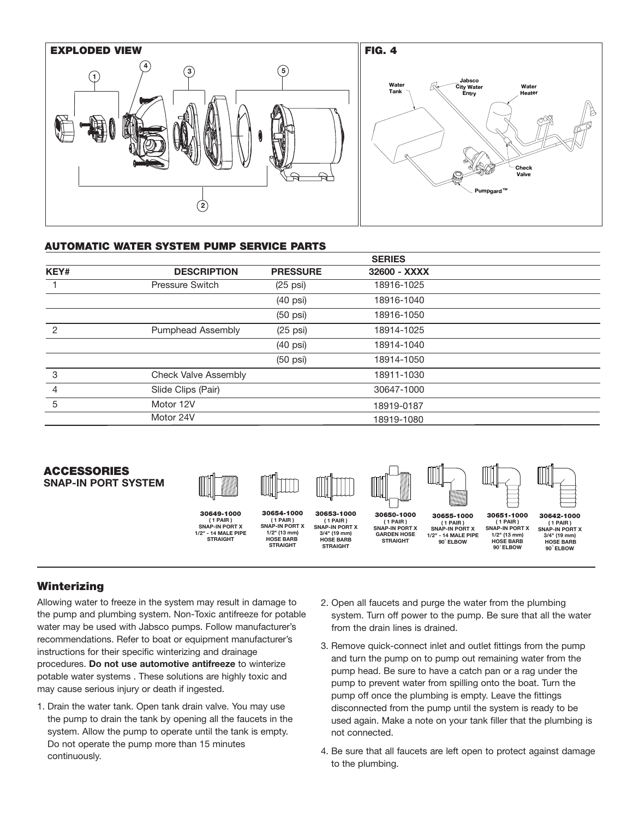

## **AUTOMATIC WATER SYSTEM PUMP SERVICE PARTS**

|                |                             |                    | <b>SERIES</b> |  |
|----------------|-----------------------------|--------------------|---------------|--|
| KEY#           | <b>DESCRIPTION</b>          | <b>PRESSURE</b>    | 32600 - XXXX  |  |
|                | <b>Pressure Switch</b>      | $(25 \text{ psi})$ | 18916-1025    |  |
|                |                             | $(40 \text{ psi})$ | 18916-1040    |  |
|                |                             | $(50 \text{ psi})$ | 18916-1050    |  |
| $\mathcal{P}$  | <b>Pumphead Assembly</b>    | $(25 \text{ psi})$ | 18914-1025    |  |
|                |                             | $(40 \text{ psi})$ | 18914-1040    |  |
|                |                             | $(50 \text{ psi})$ | 18914-1050    |  |
| 3              | <b>Check Valve Assembly</b> |                    | 18911-1030    |  |
| $\overline{4}$ | Slide Clips (Pair)          |                    | 30647-1000    |  |
| 5              | Motor 12V                   |                    | 18919-0187    |  |
|                | Motor 24V                   |                    | 18919-1080    |  |

## **ACCESSORIES SNAP-IN PORT SYSTEM**



**30649-1000 ( 1 PAIR ) SNAP-IN PORT X 1/2" - 14 MALE PIPE STRAIGHT** 







**30654-1000 ( 1 PAIR ) SNAP-IN PORT X 1/2" (13 mm) HOSE BARB STRAIGHT**

**( 1 PAIR ) SNAP-IN PORT X 3/4" (19 mm) HOSE BARB STRAIGHT**

**30650-1000 ( 1 PAIR ) SNAP-IN PORT X GARDEN HOSE STRAIGHT**

**30651-1000 ( 1 PAIR ) SNAP-IN PORT X 1/2" (13 mm) HOSE BARB 90 ELBOW** ° **30655-1000 ( 1 PAIR ) SNAP-IN PORT X 1/2" - 14 MALE PIPE 90 ELBOW**  °

**30642-1000 ( 1 PAIR ) SNAP-IN PORT X 3/4" (19 mm)** 

 **HOSE BARB 90 ELBOW** °

**Winterizing**

Allowing water to freeze in the system may result in damage to the pump and plumbing system. Non-Toxic antifreeze for potable water may be used with Jabsco pumps. Follow manufacturer's recommendations. Refer to boat or equipment manufacturer's instructions for their specific winterizing and drainage procedures. **Do not use automotive antifreeze** to winterize potable water systems . These solutions are highly toxic and may cause serious injury or death if ingested.

- 1. Drain the water tank. Open tank drain valve. You may use the pump to drain the tank by opening all the faucets in the system. Allow the pump to operate until the tank is empty. Do not operate the pump more than 15 minutes continuously.
- 2. Open all faucets and purge the water from the plumbing system. Turn off power to the pump. Be sure that all the water from the drain lines is drained.
- 3. Remove quick-connect inlet and outlet fittings from the pump and turn the pump on to pump out remaining water from the pump head. Be sure to have a catch pan or a rag under the pump to prevent water from spilling onto the boat. Turn the pump off once the plumbing is empty. Leave the fittings disconnected from the pump until the system is ready to be used again. Make a note on your tank filler that the plumbing is not connected.
- 4. Be sure that all faucets are left open to protect against damage to the plumbing.